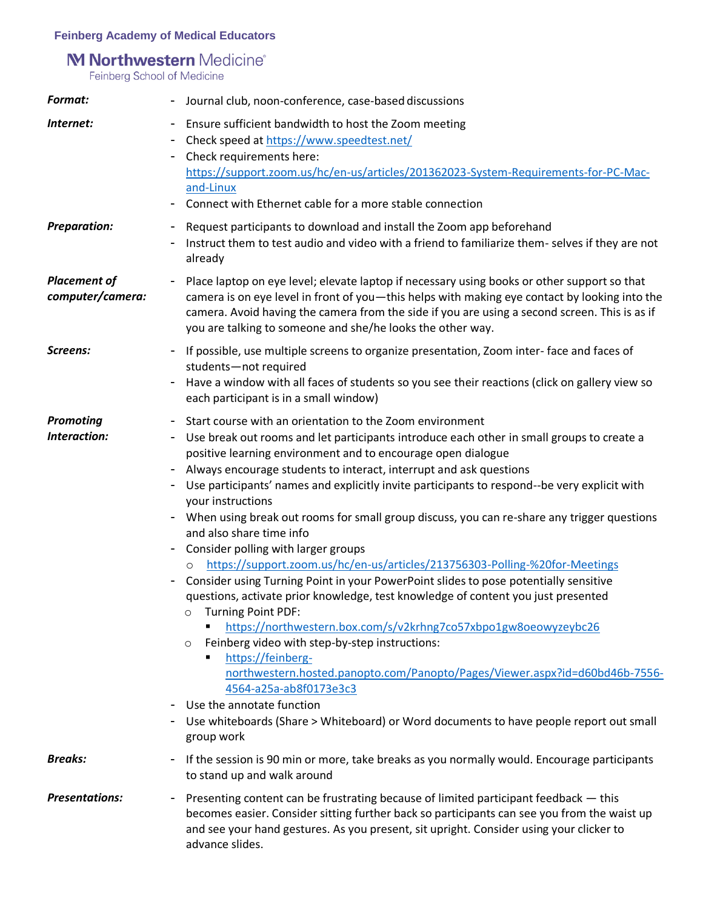## **Feinberg Academy of Medical Educators**

# M Northwestern Medicine®

Feinberg School of Medicine

| <b>Format:</b>                          | - Journal club, noon-conference, case-based discussions                                                                                                                                                                                                                                                                                                                                                                                                                                                                                                                                                                                                                                                                                                                                                                                                                                                                                                                                                                                                                                                                                                                                                                                                                                                      |
|-----------------------------------------|--------------------------------------------------------------------------------------------------------------------------------------------------------------------------------------------------------------------------------------------------------------------------------------------------------------------------------------------------------------------------------------------------------------------------------------------------------------------------------------------------------------------------------------------------------------------------------------------------------------------------------------------------------------------------------------------------------------------------------------------------------------------------------------------------------------------------------------------------------------------------------------------------------------------------------------------------------------------------------------------------------------------------------------------------------------------------------------------------------------------------------------------------------------------------------------------------------------------------------------------------------------------------------------------------------------|
| Internet:                               | - Ensure sufficient bandwidth to host the Zoom meeting<br>Check speed at https://www.speedtest.net/<br>- Check requirements here:<br>https://support.zoom.us/hc/en-us/articles/201362023-System-Requirements-for-PC-Mac-<br>and-Linux<br>Connect with Ethernet cable for a more stable connection                                                                                                                                                                                                                                                                                                                                                                                                                                                                                                                                                                                                                                                                                                                                                                                                                                                                                                                                                                                                            |
| <b>Preparation:</b>                     | Request participants to download and install the Zoom app beforehand<br>Instruct them to test audio and video with a friend to familiarize them-selves if they are not<br>already                                                                                                                                                                                                                                                                                                                                                                                                                                                                                                                                                                                                                                                                                                                                                                                                                                                                                                                                                                                                                                                                                                                            |
| <b>Placement of</b><br>computer/camera: | Place laptop on eye level; elevate laptop if necessary using books or other support so that<br>camera is on eye level in front of you-this helps with making eye contact by looking into the<br>camera. Avoid having the camera from the side if you are using a second screen. This is as if<br>you are talking to someone and she/he looks the other way.                                                                                                                                                                                                                                                                                                                                                                                                                                                                                                                                                                                                                                                                                                                                                                                                                                                                                                                                                  |
| Screens:                                | If possible, use multiple screens to organize presentation, Zoom inter-face and faces of<br>students-not required<br>Have a window with all faces of students so you see their reactions (click on gallery view so<br>۰.<br>each participant is in a small window)                                                                                                                                                                                                                                                                                                                                                                                                                                                                                                                                                                                                                                                                                                                                                                                                                                                                                                                                                                                                                                           |
| <b>Promoting</b><br>Interaction:        | Start course with an orientation to the Zoom environment<br>۰.<br>Use break out rooms and let participants introduce each other in small groups to create a<br>۰.<br>positive learning environment and to encourage open dialogue<br>Always encourage students to interact, interrupt and ask questions<br>۰.<br>Use participants' names and explicitly invite participants to respond--be very explicit with<br>your instructions<br>- When using break out rooms for small group discuss, you can re-share any trigger questions<br>and also share time info<br>Consider polling with larger groups<br>https://support.zoom.us/hc/en-us/articles/213756303-Polling-%20for-Meetings<br>Consider using Turning Point in your PowerPoint slides to pose potentially sensitive<br>questions, activate prior knowledge, test knowledge of content you just presented<br><b>Turning Point PDF:</b><br>$\circ$<br>https://northwestern.box.com/s/v2krhng7co57xbpo1gw8oeowyzeybc26<br>Feinberg video with step-by-step instructions:<br>$\circ$<br>https://feinberg-<br>northwestern.hosted.panopto.com/Panopto/Pages/Viewer.aspx?id=d60bd46b-7556-<br>4564-a25a-ab8f0173e3c3<br>Use the annotate function<br>Use whiteboards (Share > Whiteboard) or Word documents to have people report out small<br>group work |
| <b>Breaks:</b>                          | If the session is 90 min or more, take breaks as you normally would. Encourage participants<br>۰.<br>to stand up and walk around                                                                                                                                                                                                                                                                                                                                                                                                                                                                                                                                                                                                                                                                                                                                                                                                                                                                                                                                                                                                                                                                                                                                                                             |
| <b>Presentations:</b>                   | Presenting content can be frustrating because of limited participant feedback - this<br>۰.<br>becomes easier. Consider sitting further back so participants can see you from the waist up<br>and see your hand gestures. As you present, sit upright. Consider using your clicker to<br>advance slides.                                                                                                                                                                                                                                                                                                                                                                                                                                                                                                                                                                                                                                                                                                                                                                                                                                                                                                                                                                                                      |